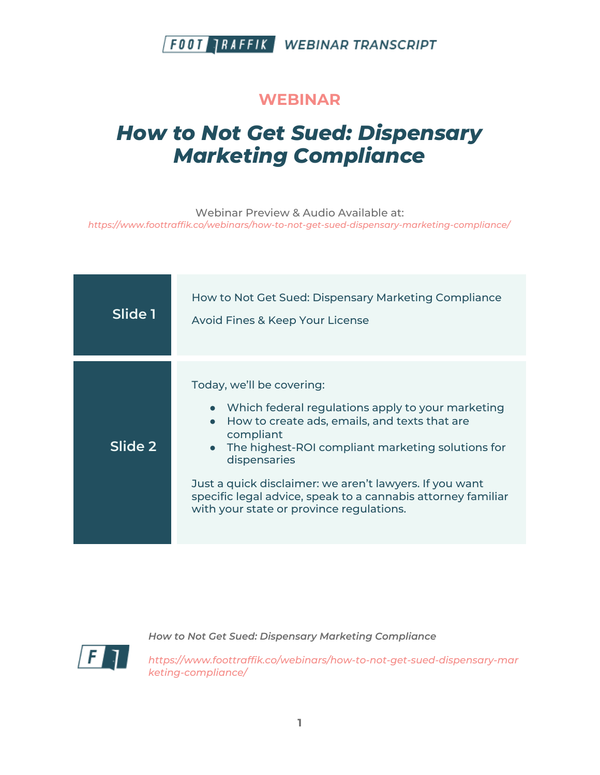

#### **WEBINAR**

# *How to Not Get Sued: Dispensary Marketing Compliance*

Webinar Preview & Audio Available at: *https://www.foottraffik.co/webinars/how-to-not-get-sued-dispensary-marketing-compliance/*

| Slide 1 | How to Not Get Sued: Dispensary Marketing Compliance<br>Avoid Fines & Keep Your License                                                                                                                                                                                                                                                                                                      |
|---------|----------------------------------------------------------------------------------------------------------------------------------------------------------------------------------------------------------------------------------------------------------------------------------------------------------------------------------------------------------------------------------------------|
| Slide 2 | Today, we'll be covering:<br>• Which federal regulations apply to your marketing<br>How to create ads, emails, and texts that are<br>compliant<br>• The highest-ROI compliant marketing solutions for<br>dispensaries<br>Just a quick disclaimer: we aren't lawyers. If you want<br>specific legal advice, speak to a cannabis attorney familiar<br>with your state or province regulations. |

*How to Not Get Sued: Dispensary Marketing Compliance*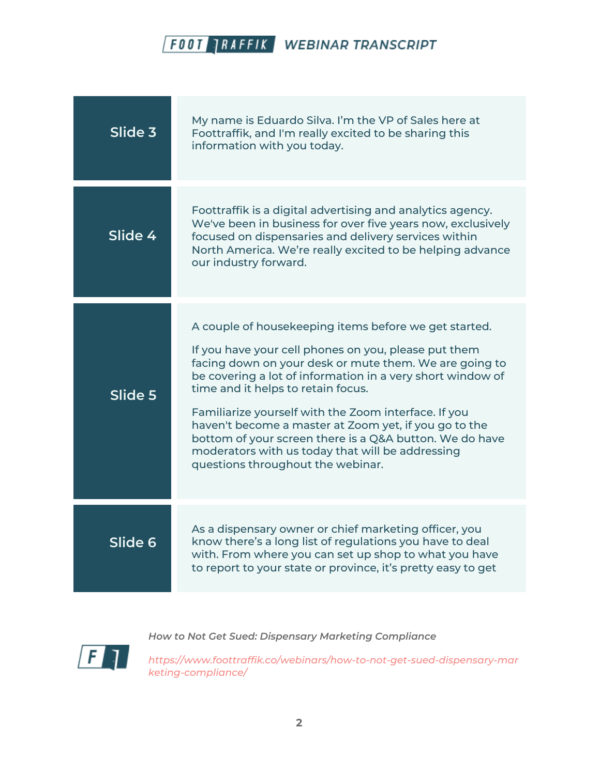| Slide 3 | My name is Eduardo Silva. I'm the VP of Sales here at<br>Foottraffik, and I'm really excited to be sharing this<br>information with you today.                                                                                                                                                                                                                                                                                                                                                                                                   |
|---------|--------------------------------------------------------------------------------------------------------------------------------------------------------------------------------------------------------------------------------------------------------------------------------------------------------------------------------------------------------------------------------------------------------------------------------------------------------------------------------------------------------------------------------------------------|
| Slide 4 | Foottraffik is a digital advertising and analytics agency.<br>We've been in business for over five years now, exclusively<br>focused on dispensaries and delivery services within<br>North America. We're really excited to be helping advance<br>our industry forward.                                                                                                                                                                                                                                                                          |
| Slide 5 | A couple of housekeeping items before we get started.<br>If you have your cell phones on you, please put them<br>facing down on your desk or mute them. We are going to<br>be covering a lot of information in a very short window of<br>time and it helps to retain focus.<br>Familiarize yourself with the Zoom interface. If you<br>haven't become a master at Zoom yet, if you go to the<br>bottom of your screen there is a Q&A button. We do have<br>moderators with us today that will be addressing<br>questions throughout the webinar. |
| Slide 6 | As a dispensary owner or chief marketing officer, you<br>know there's a long list of regulations you have to deal<br>with. From where you can set up shop to what you have<br>to report to your state or province, it's pretty easy to get                                                                                                                                                                                                                                                                                                       |



*How to Not Get Sued: Dispensary Marketing Compliance*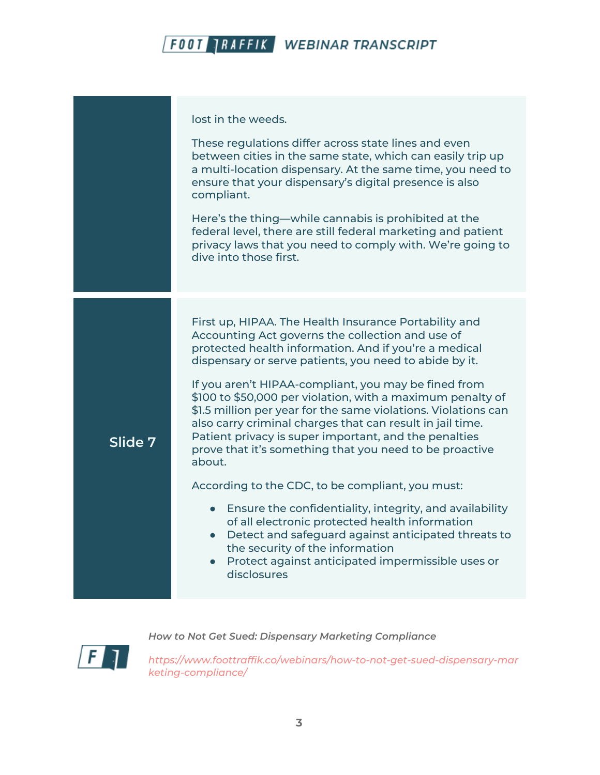|         | lost in the weeds.<br>These regulations differ across state lines and even<br>between cities in the same state, which can easily trip up<br>a multi-location dispensary. At the same time, you need to<br>ensure that your dispensary's digital presence is also<br>compliant.                                                                                                                                                                                                                                                                                                                                  |
|---------|-----------------------------------------------------------------------------------------------------------------------------------------------------------------------------------------------------------------------------------------------------------------------------------------------------------------------------------------------------------------------------------------------------------------------------------------------------------------------------------------------------------------------------------------------------------------------------------------------------------------|
|         | Here's the thing—while cannabis is prohibited at the<br>federal level, there are still federal marketing and patient<br>privacy laws that you need to comply with. We're going to<br>dive into those first.                                                                                                                                                                                                                                                                                                                                                                                                     |
| Slide 7 | First up, HIPAA. The Health Insurance Portability and<br>Accounting Act governs the collection and use of<br>protected health information. And if you're a medical<br>dispensary or serve patients, you need to abide by it.<br>If you aren't HIPAA-compliant, you may be fined from<br>\$100 to \$50,000 per violation, with a maximum penalty of<br>\$1.5 million per year for the same violations. Violations can<br>also carry criminal charges that can result in jail time.<br>Patient privacy is super important, and the penalties<br>prove that it's something that you need to be proactive<br>about. |
|         | According to the CDC, to be compliant, you must:<br>Ensure the confidentiality, integrity, and availability<br>$\bullet$<br>of all electronic protected health information<br>• Detect and safeguard against anticipated threats to<br>the security of the information<br>Protect against anticipated impermissible uses or<br>$\bullet$<br>disclosures                                                                                                                                                                                                                                                         |

*How to Not Get Sued: Dispensary Marketing Compliance*

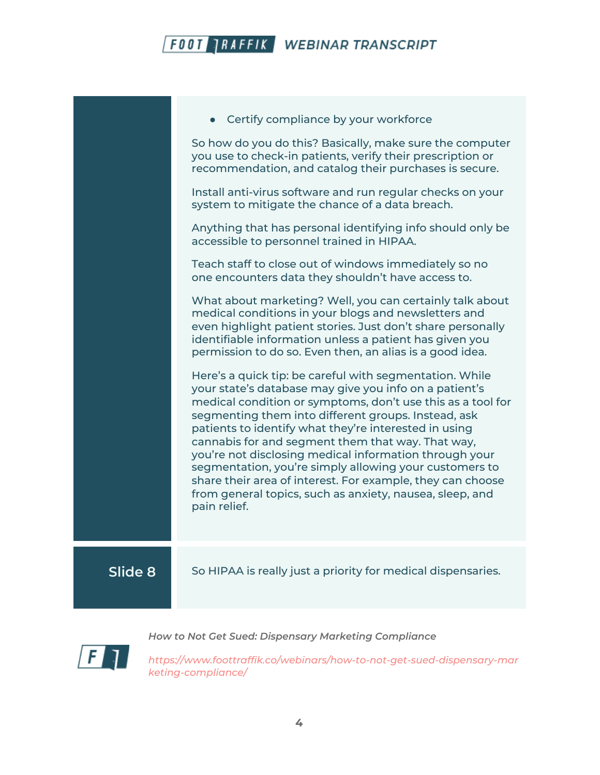|         | Certify compliance by your workforce                                                                                                                                                                                                                                                                                                                                                                                                                                                                                                                                                                                |
|---------|---------------------------------------------------------------------------------------------------------------------------------------------------------------------------------------------------------------------------------------------------------------------------------------------------------------------------------------------------------------------------------------------------------------------------------------------------------------------------------------------------------------------------------------------------------------------------------------------------------------------|
|         | So how do you do this? Basically, make sure the computer<br>you use to check-in patients, verify their prescription or<br>recommendation, and catalog their purchases is secure.                                                                                                                                                                                                                                                                                                                                                                                                                                    |
|         | Install anti-virus software and run regular checks on your<br>system to mitigate the chance of a data breach.                                                                                                                                                                                                                                                                                                                                                                                                                                                                                                       |
|         | Anything that has personal identifying info should only be<br>accessible to personnel trained in HIPAA.                                                                                                                                                                                                                                                                                                                                                                                                                                                                                                             |
|         | Teach staff to close out of windows immediately so no<br>one encounters data they shouldn't have access to.                                                                                                                                                                                                                                                                                                                                                                                                                                                                                                         |
|         | What about marketing? Well, you can certainly talk about<br>medical conditions in your blogs and newsletters and<br>even highlight patient stories. Just don't share personally<br>identifiable information unless a patient has given you<br>permission to do so. Even then, an alias is a good idea.                                                                                                                                                                                                                                                                                                              |
|         | Here's a quick tip: be careful with segmentation. While<br>your state's database may give you info on a patient's<br>medical condition or symptoms, don't use this as a tool for<br>segmenting them into different groups. Instead, ask<br>patients to identify what they're interested in using<br>cannabis for and segment them that way. That way,<br>you're not disclosing medical information through your<br>segmentation, you're simply allowing your customers to<br>share their area of interest. For example, they can choose<br>from general topics, such as anxiety, nausea, sleep, and<br>pain relief. |
| Slide 8 | So HIPAA is really just a priority for medical dispensaries.                                                                                                                                                                                                                                                                                                                                                                                                                                                                                                                                                        |
|         |                                                                                                                                                                                                                                                                                                                                                                                                                                                                                                                                                                                                                     |



*How to Not Get Sued: Dispensary Marketing Compliance*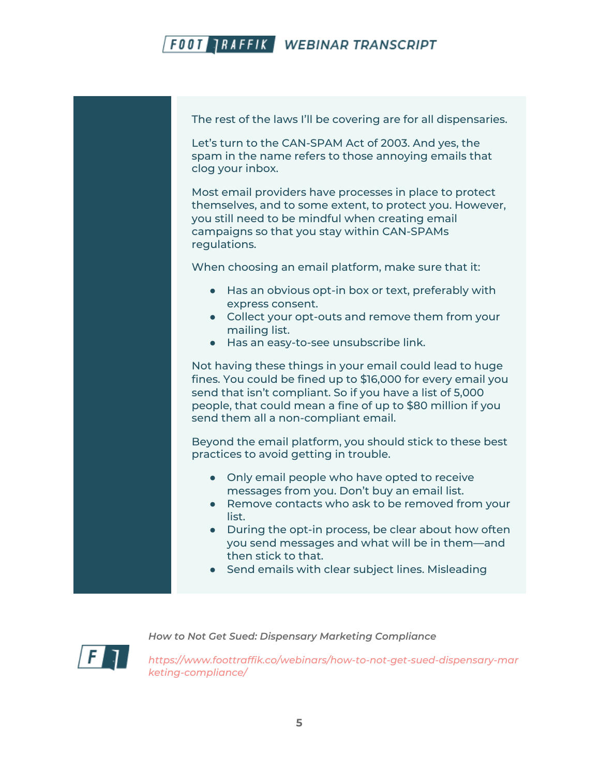The rest of the laws I'll be covering are for all dispensaries.

Let's turn to the CAN-SPAM Act of 2003. And yes, the spam in the name refers to those annoying emails that clog your inbox.

Most email providers have processes in place to protect themselves, and to some extent, to protect you. However, you still need to be mindful when creating email campaigns so that you stay within CAN-SPAMs regulations.

When choosing an email platform, make sure that it:

- Has an obvious opt-in box or text, preferably with express consent.
- Collect your opt-outs and remove them from your mailing list.
- Has an easy-to-see unsubscribe link.

Not having these things in your email could lead to huge fines. You could be fined up to \$16,000 for every email you send that isn't compliant. So if you have a list of 5,000 people, that could mean a fine of up to \$80 million if you send them all a non-compliant email.

Beyond the email platform, you should stick to these best practices to avoid getting in trouble.

- Only email people who have opted to receive messages from you. Don't buy an email list.
- Remove contacts who ask to be removed from your list.
- During the opt-in process, be clear about how often you send messages and what will be in them—and then stick to that.
- Send emails with clear subject lines. Misleading



*How to Not Get Sued: Dispensary Marketing Compliance*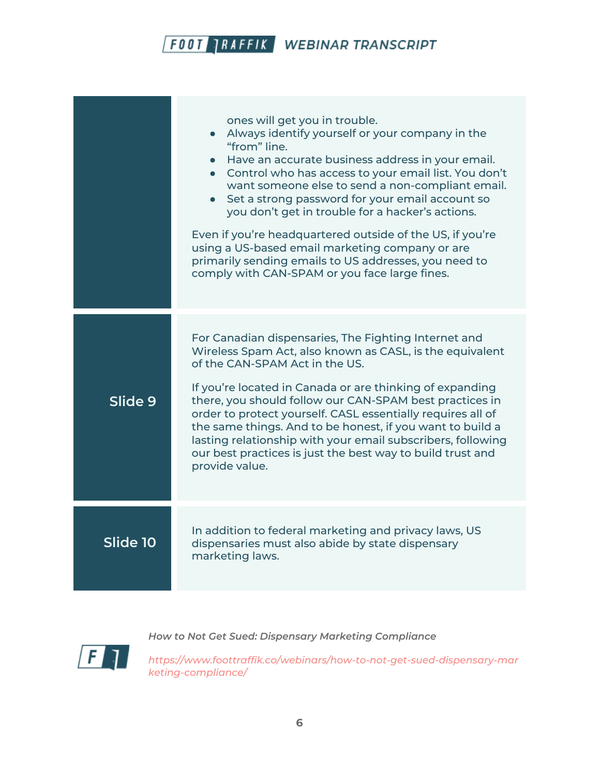|          | ones will get you in trouble.<br>Always identify yourself or your company in the<br>"from" line.<br>• Have an accurate business address in your email.<br>Control who has access to your email list. You don't<br>want someone else to send a non-compliant email.<br>Set a strong password for your email account so<br>you don't get in trouble for a hacker's actions.<br>Even if you're headquartered outside of the US, if you're<br>using a US-based email marketing company or are<br>primarily sending emails to US addresses, you need to<br>comply with CAN-SPAM or you face large fines. |
|----------|-----------------------------------------------------------------------------------------------------------------------------------------------------------------------------------------------------------------------------------------------------------------------------------------------------------------------------------------------------------------------------------------------------------------------------------------------------------------------------------------------------------------------------------------------------------------------------------------------------|
| Slide 9  | For Canadian dispensaries, The Fighting Internet and<br>Wireless Spam Act, also known as CASL, is the equivalent<br>of the CAN-SPAM Act in the US.<br>If you're located in Canada or are thinking of expanding<br>there, you should follow our CAN-SPAM best practices in<br>order to protect yourself. CASL essentially requires all of<br>the same things. And to be honest, if you want to build a<br>lasting relationship with your email subscribers, following<br>our best practices is just the best way to build trust and<br>provide value.                                                |
| Slide 10 | In addition to federal marketing and privacy laws, US<br>dispensaries must also abide by state dispensary<br>marketing laws.                                                                                                                                                                                                                                                                                                                                                                                                                                                                        |



*How to Not Get Sued: Dispensary Marketing Compliance*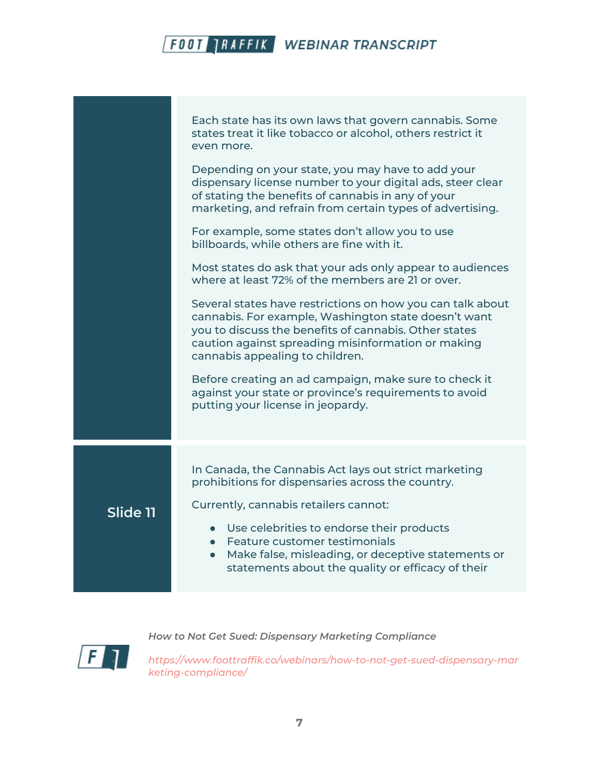|          | Each state has its own laws that govern cannabis. Some<br>states treat it like tobacco or alcohol, others restrict it<br>even more.<br>Depending on your state, you may have to add your<br>dispensary license number to your digital ads, steer clear<br>of stating the benefits of cannabis in any of your |
|----------|--------------------------------------------------------------------------------------------------------------------------------------------------------------------------------------------------------------------------------------------------------------------------------------------------------------|
|          | marketing, and refrain from certain types of advertising.<br>For example, some states don't allow you to use<br>billboards, while others are fine with it.                                                                                                                                                   |
|          | Most states do ask that your ads only appear to audiences<br>where at least 72% of the members are 21 or over.                                                                                                                                                                                               |
|          | Several states have restrictions on how you can talk about<br>cannabis. For example, Washington state doesn't want<br>you to discuss the benefits of cannabis. Other states<br>caution against spreading misinformation or making<br>cannabis appealing to children.                                         |
|          | Before creating an ad campaign, make sure to check it<br>against your state or province's requirements to avoid<br>putting your license in jeopardy.                                                                                                                                                         |
|          | In Canada, the Cannabis Act lays out strict marketing<br>prohibitions for dispensaries across the country.                                                                                                                                                                                                   |
| Slide 11 | Currently, cannabis retailers cannot:<br>• Use celebrities to endorse their products<br>Feature customer testimonials<br>$\bullet$<br>Make false, misleading, or deceptive statements or<br>$\bullet$<br>statements about the quality or efficacy of their                                                   |

 $\sqrt{F}$ 

*How to Not Get Sued: Dispensary Marketing Compliance*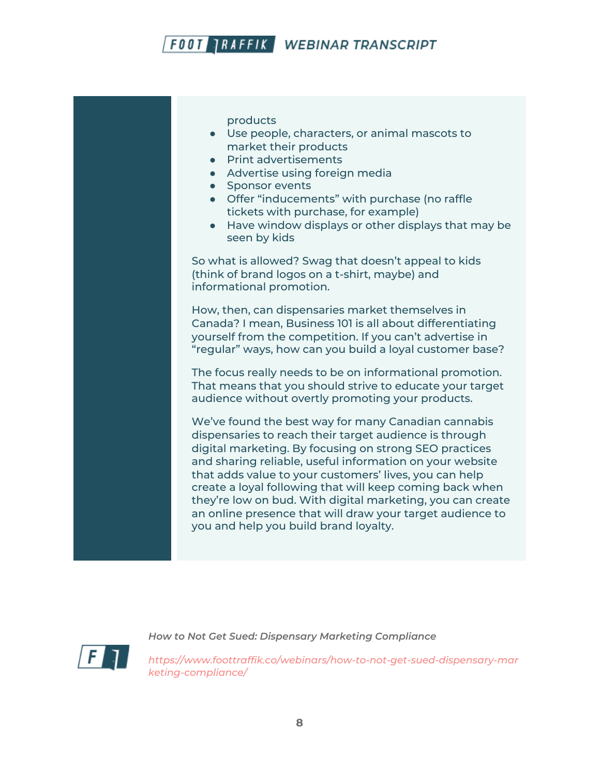products

- Use people, characters, or animal mascots to market their products
- Print advertisements
- Advertise using foreign media
- Sponsor events
- Offer "inducements" with purchase (no raffle tickets with purchase, for example)
- Have window displays or other displays that may be seen by kids

So what is allowed? Swag that doesn't appeal to kids (think of brand logos on a t-shirt, maybe) and informational promotion.

How, then, can dispensaries market themselves in Canada? I mean, Business 101 is all about differentiating yourself from the competition. If you can't advertise in "regular" ways, how can you build a loyal customer base?

The focus really needs to be on informational promotion. That means that you should strive to educate your target audience without overtly promoting your products.

We've found the best way for many Canadian cannabis dispensaries to reach their target audience is through digital marketing. By focusing on strong SEO practices and sharing reliable, useful information on your website that adds value to your customers' lives, you can help create a loyal following that will keep coming back when they're low on bud. With digital marketing, you can create an online presence that will draw your target audience to you and help you build brand loyalty.



*How to Not Get Sued: Dispensary Marketing Compliance*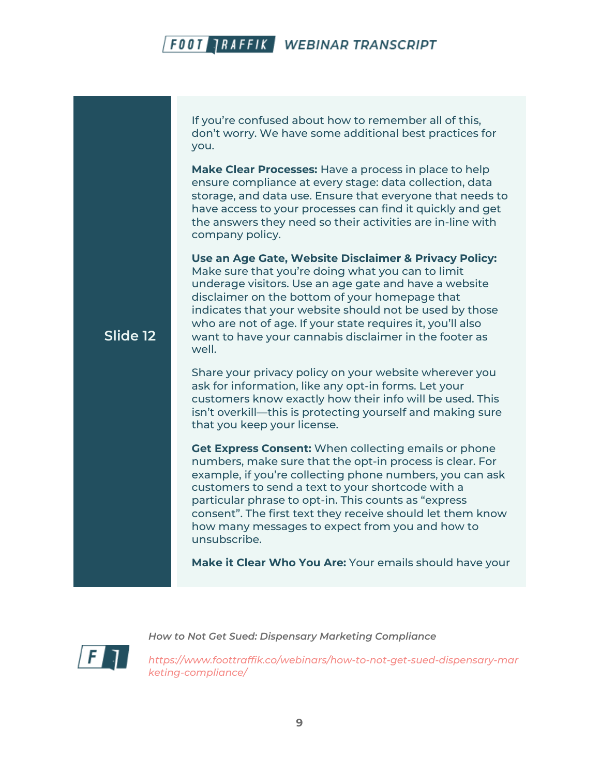If you're confused about how to remember all of this, don't worry. We have some additional best practices for you.

**Make Clear Processes:** Have a process in place to help ensure compliance at every stage: data collection, data storage, and data use. Ensure that everyone that needs to have access to your processes can find it quickly and get the answers they need so their activities are in-line with company policy.

**Use an Age Gate, Website Disclaimer & Privacy Policy:** Make sure that you're doing what you can to limit underage visitors. Use an age gate and have a website disclaimer on the bottom of your homepage that indicates that your website should not be used by those who are not of age. If your state requires it, you'll also want to have your cannabis disclaimer in the footer as well.

Share your privacy policy on your website wherever you ask for information, like any opt-in forms. Let your customers know exactly how their info will be used. This isn't overkill—this is protecting yourself and making sure that you keep your license.

**Get Express Consent:** When collecting emails or phone numbers, make sure that the opt-in process is clear. For example, if you're collecting phone numbers, you can ask customers to send a text to your shortcode with a particular phrase to opt-in. This counts as "express consent". The first text they receive should let them know how many messages to expect from you and how to unsubscribe.

**Make it Clear Who You Are:** Your emails should have your



**Slide 12**

*How to Not Get Sued: Dispensary Marketing Compliance*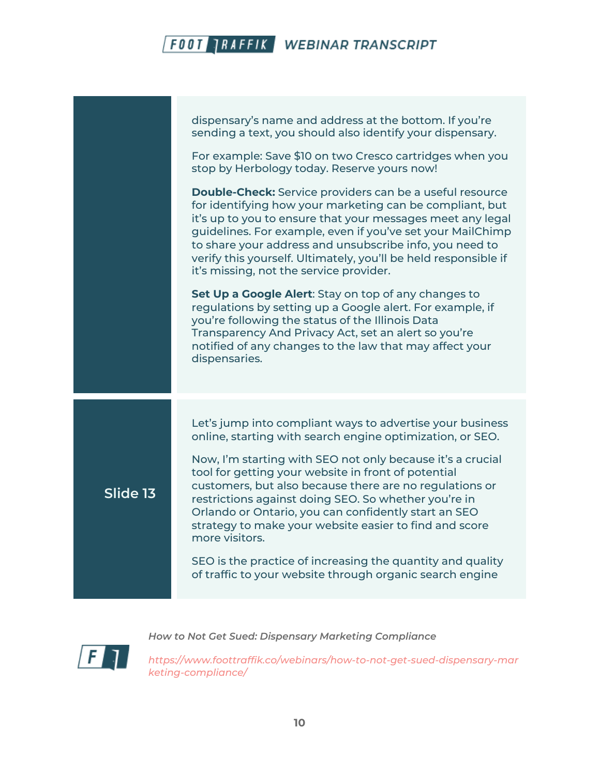dispensary's name and address at the bottom. If you're sending a text, you should also identify your dispensary. For example: Save \$10 on two Cresco cartridges when you stop by Herbology today. Reserve yours now! **Double-Check:** Service providers can be a useful resource for identifying how your marketing can be compliant, but it's up to you to ensure that your messages meet any legal guidelines. For example, even if you've set your MailChimp to share your address and unsubscribe info, you need to verify this yourself. Ultimately, you'll be held responsible if it's missing, not the service provider. **Set Up a Google Alert**: Stay on top of any changes to regulations by setting up a Google alert. For example, if you're following the status of the Illinois Data Transparency And Privacy Act, set an alert so you're notified of any changes to the law that may affect your dispensaries. **Slide 13** Let's jump into compliant ways to advertise your business online, starting with search engine optimization, or SEO. Now, I'm starting with SEO not only because it's a crucial tool for getting your website in front of potential customers, but also because there are no regulations or restrictions against doing SEO. So whether you're in Orlando or Ontario, you can confidently start an SEO strategy to make your website easier to find and score more visitors. SEO is the practice of increasing the quantity and quality of traffic to your website through organic search engine

*How to Not Get Sued: Dispensary Marketing Compliance*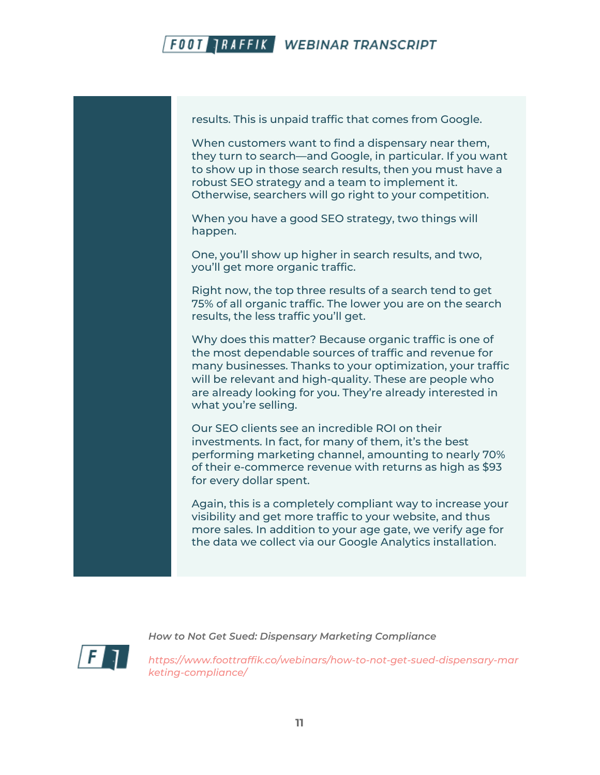



When customers want to find a dispensary near them, they turn to search—and Google, in particular. If you want to show up in those search results, then you must have a robust SEO strategy and a team to implement it. Otherwise, searchers will go right to your competition.

When you have a good SEO strategy, two things will happen.

One, you'll show up higher in search results, and two, you'll get more organic traffic.

Right now, the top three results of a search tend to get 75% of all organic traffic. The lower you are on the search results, the less traffic you'll get.

Why does this matter? Because organic traffic is one of the most dependable sources of traffic and revenue for many businesses. Thanks to your optimization, your traffic will be relevant and high-quality. These are people who are already looking for you. They're already interested in what you're selling.

Our SEO clients see an incredible ROI on their investments. In fact, for many of them, it's the best performing marketing channel, amounting to nearly 70% of their e-commerce revenue with returns as high as \$93 for every dollar spent.

Again, this is a completely compliant way to increase your visibility and get more traffic to your website, and thus more sales. In addition to your age gate, we verify age for the data we collect via our Google Analytics installation.



*How to Not Get Sued: Dispensary Marketing Compliance*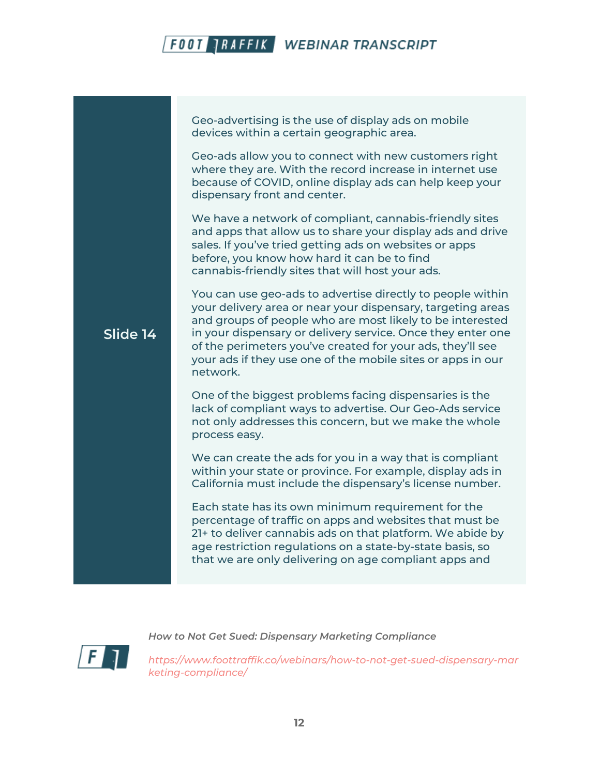Geo-advertising is the use of display ads on mobile devices within a certain geographic area.

Geo-ads allow you to connect with new customers right where they are. With the record increase in internet use because of COVID, online display ads can help keep your dispensary front and center.

We have a network of compliant, cannabis-friendly sites and apps that allow us to share your display ads and drive sales. If you've tried getting ads on websites or apps before, you know how hard it can be to find cannabis-friendly sites that will host your ads.

You can use geo-ads to advertise directly to people within

#### your delivery area or near your dispensary, targeting areas and groups of people who are most likely to be interested in your dispensary or delivery service. Once they enter one of the perimeters you've created for your ads, they'll see your ads if they use one of the mobile sites or apps in our network.

One of the biggest problems facing dispensaries is the lack of compliant ways to advertise. Our Geo-Ads service not only addresses this concern, but we make the whole process easy.

We can create the ads for you in a way that is compliant within your state or province. For example, display ads in California must include the dispensary's license number.

Each state has its own minimum requirement for the percentage of traffic on apps and websites that must be 21+ to deliver cannabis ads on that platform. We abide by age restriction regulations on a state-by-state basis, so that we are only delivering on age compliant apps and



**Slide 14**

*How to Not Get Sued: Dispensary Marketing Compliance*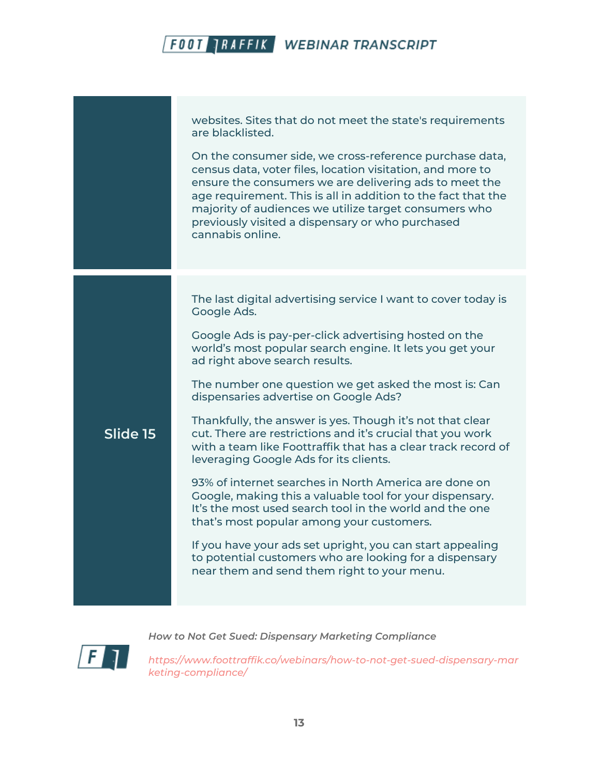websites. Sites that do not meet the state's requirements are blacklisted. On the consumer side, we cross-reference purchase data, census data, voter files, location visitation, and more to ensure the consumers we are delivering ads to meet the age requirement. This is all in addition to the fact that the majority of audiences we utilize target consumers who previously visited a dispensary or who purchased cannabis online. **Slide 15** The last digital advertising service I want to cover today is Google Ads. Google Ads is pay-per-click advertising hosted on the world's most popular search engine. It lets you get your ad right above search results. The number one question we get asked the most is: Can dispensaries advertise on Google Ads? Thankfully, the answer is yes. Though it's not that clear cut. There are restrictions and it's crucial that you work with a team like Foottraffik that has a clear track record of leveraging Google Ads for its clients. 93% of internet searches in North America are done on Google, making this a valuable tool for your dispensary. It's the most used search tool in the world and the one that's most popular among your customers. If you have your ads set upright, you can start appealing to potential customers who are looking for a dispensary near them and send them right to your menu.

*How to Not Get Sued: Dispensary Marketing Compliance*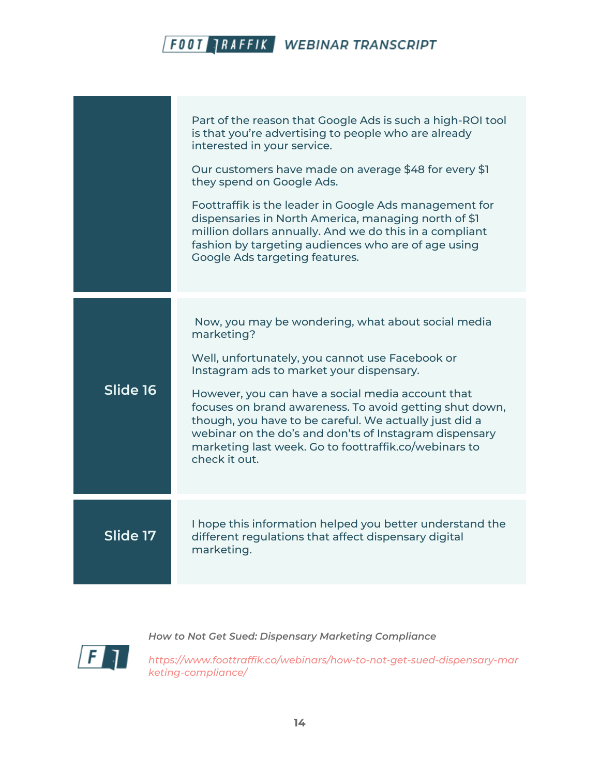|          | Part of the reason that Google Ads is such a high-ROI tool<br>is that you're advertising to people who are already<br>interested in your service.<br>Our customers have made on average \$48 for every \$1<br>they spend on Google Ads.<br>Foottraffik is the leader in Google Ads management for<br>dispensaries in North America, managing north of \$1<br>million dollars annually. And we do this in a compliant<br>fashion by targeting audiences who are of age using<br>Google Ads targeting features. |
|----------|---------------------------------------------------------------------------------------------------------------------------------------------------------------------------------------------------------------------------------------------------------------------------------------------------------------------------------------------------------------------------------------------------------------------------------------------------------------------------------------------------------------|
| Slide 16 | Now, you may be wondering, what about social media<br>marketing?<br>Well, unfortunately, you cannot use Facebook or<br>Instagram ads to market your dispensary.<br>However, you can have a social media account that<br>focuses on brand awareness. To avoid getting shut down,<br>though, you have to be careful. We actually just did a<br>webinar on the do's and don'ts of Instagram dispensary<br>marketing last week. Go to foottraffik.co/webinars to<br>check it out.                                 |
| Slide 17 | I hope this information helped you better understand the<br>different regulations that affect dispensary digital<br>marketing.                                                                                                                                                                                                                                                                                                                                                                                |



*How to Not Get Sued: Dispensary Marketing Compliance*